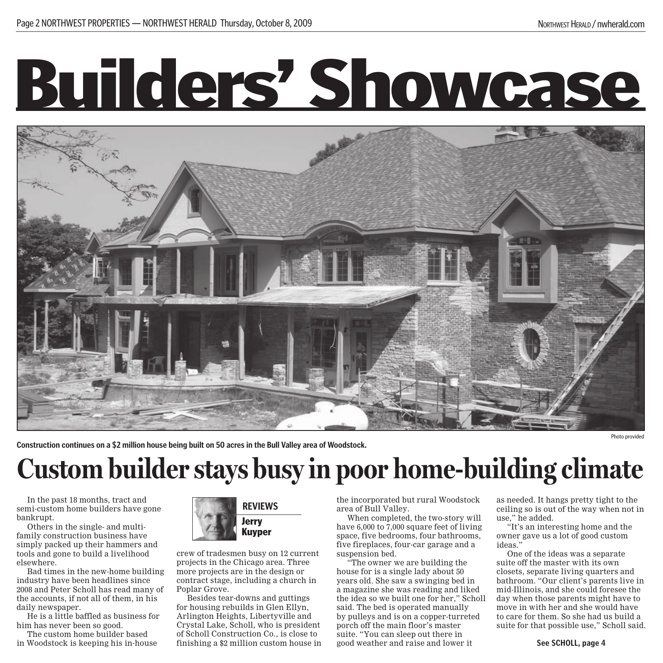## Builders' Showcase



**Construction continues on a \$2 million house being built on 50 acres in the Bull Valley area of Woodstock.**

Photo provided

## **Custom builder stays busy in poor home-building climate**

In the past 18 months, tract and semi-custom home builders have gone bankrupt.

Others in the single- and multifamily construction business have simply packed up their hammers and tools and gone to build a livelihood elsewhere.

Bad times in the new-home building industry have been headlines since 2008 and Peter Scholl has read many of the accounts, if not all of them, in his daily newspaper.

He is a little baffled as business for him has never been so good.

The custom home builder based in Woodstock is keeping his in-house



crew of tradesmen busy on 12 current projects in the Chicago area. Three more projects are in the design or contract stage, including a church in Poplar Grove.

Besides tear-downs and guttings for housing rebuilds in Glen Ellyn, Arlington Heights, Libertyville and Crystal Lake, Scholl, who is president of Scholl Construction Co., is close to finishing a \$2 million custom house in the incorporated but rural Woodstock area of Bull Valley.

When completed, the two-story will have 6,000 to  $7,000$  square feet of living space, five bedrooms, four bathrooms, five fireplaces, four-car garage and a suspension bed.

The owner we are building the house for is a single lady about 50 years old. She saw a swinging bed in a magazine she was reading and liked the idea so we built one for her," Scholl said. The bed is operated manually by pulleys and is on a copper-turreted porch off the main floor's master suite. "You can sleep out there in good weather and raise and lower it

as needed. It hangs pretty tight to the ceiling so is out of the way when not in use," he added.

"It's an interesting home and the owner gave us a lot of good custom ideas."

One of the ideas was a separate suite off the master with its own closets, separate living quarters and bathroom. "Our client's parents live in mid-Illinois, and she could foresee the day when those parents might have to move in with her and she would have to care for them. So she had us build a suite for that possible use," Scholl said.